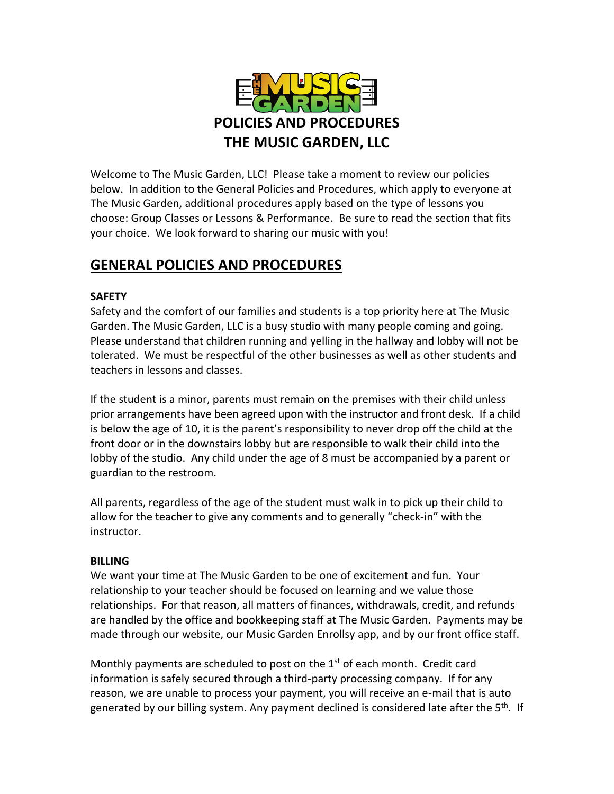

Welcome to The Music Garden, LLC! Please take a moment to review our policies below. In addition to the General Policies and Procedures, which apply to everyone at The Music Garden, additional procedures apply based on the type of lessons you choose: Group Classes or Lessons & Performance. Be sure to read the section that fits your choice. We look forward to sharing our music with you!

## **GENERAL POLICIES AND PROCEDURES**

## **SAFETY**

Safety and the comfort of our families and students is a top priority here at The Music Garden. The Music Garden, LLC is a busy studio with many people coming and going. Please understand that children running and yelling in the hallway and lobby will not be tolerated. We must be respectful of the other businesses as well as other students and teachers in lessons and classes.

If the student is a minor, parents must remain on the premises with their child unless prior arrangements have been agreed upon with the instructor and front desk. If a child is below the age of 10, it is the parent's responsibility to never drop off the child at the front door or in the downstairs lobby but are responsible to walk their child into the lobby of the studio. Any child under the age of 8 must be accompanied by a parent or guardian to the restroom.

All parents, regardless of the age of the student must walk in to pick up their child to allow for the teacher to give any comments and to generally "check-in" with the instructor.

### **BILLING**

We want your time at The Music Garden to be one of excitement and fun. Your relationship to your teacher should be focused on learning and we value those relationships. For that reason, all matters of finances, withdrawals, credit, and refunds are handled by the office and bookkeeping staff at The Music Garden. Payments may be made through our website, our Music Garden Enrollsy app, and by our front office staff.

Monthly payments are scheduled to post on the  $1<sup>st</sup>$  of each month. Credit card information is safely secured through a third-party processing company. If for any reason, we are unable to process your payment, you will receive an e-mail that is auto generated by our billing system. Any payment declined is considered late after the 5<sup>th</sup>. If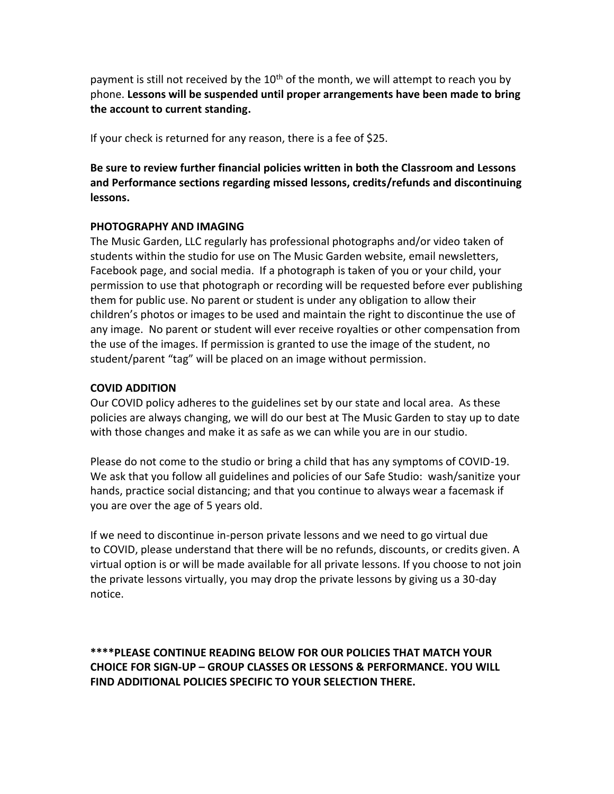payment is still not received by the  $10<sup>th</sup>$  of the month, we will attempt to reach you by phone. **Lessons will be suspended until proper arrangements have been made to bring the account to current standing.**

If your check is returned for any reason, there is a fee of \$25.

**Be sure to review further financial policies written in both the Classroom and Lessons and Performance sections regarding missed lessons, credits/refunds and discontinuing lessons.**

#### **PHOTOGRAPHY AND IMAGING**

The Music Garden, LLC regularly has professional photographs and/or video taken of students within the studio for use on The Music Garden website, email newsletters, Facebook page, and social media. If a photograph is taken of you or your child, your permission to use that photograph or recording will be requested before ever publishing them for public use. No parent or student is under any obligation to allow their children's photos or images to be used and maintain the right to discontinue the use of any image. No parent or student will ever receive royalties or other compensation from the use of the images. If permission is granted to use the image of the student, no student/parent "tag" will be placed on an image without permission.

#### **COVID ADDITION**

Our COVID policy adheres to the guidelines set by our state and local area. As these policies are always changing, we will do our best at The Music Garden to stay up to date with those changes and make it as safe as we can while you are in our studio.

Please do not come to the studio or bring a child that has any symptoms of COVID-19. We ask that you follow all guidelines and policies of our Safe Studio: wash/sanitize your hands, practice social distancing; and that you continue to always wear a facemask if you are over the age of 5 years old.

If we need to discontinue in-person private lessons and we need to go virtual due to COVID, please understand that there will be no refunds, discounts, or credits given. A virtual option is or will be made available for all private lessons. If you choose to not join the private lessons virtually, you may drop the private lessons by giving us a 30-day notice.

**\*\*\*\*PLEASE CONTINUE READING BELOW FOR OUR POLICIES THAT MATCH YOUR CHOICE FOR SIGN-UP – GROUP CLASSES OR LESSONS & PERFORMANCE. YOU WILL FIND ADDITIONAL POLICIES SPECIFIC TO YOUR SELECTION THERE.**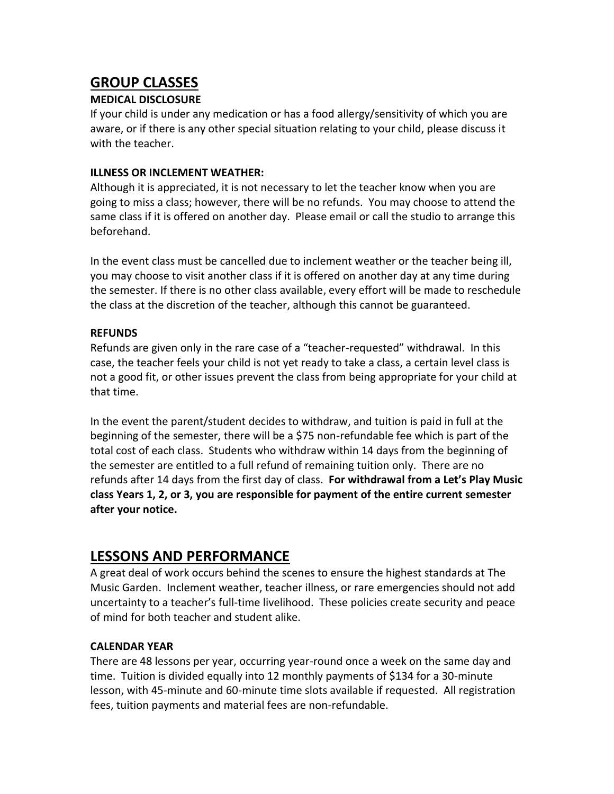# **GROUP CLASSES**

### **MEDICAL DISCLOSURE**

If your child is under any medication or has a food allergy/sensitivity of which you are aware, or if there is any other special situation relating to your child, please discuss it with the teacher.

#### **ILLNESS OR INCLEMENT WEATHER:**

Although it is appreciated, it is not necessary to let the teacher know when you are going to miss a class; however, there will be no refunds. You may choose to attend the same class if it is offered on another day. Please email or call the studio to arrange this beforehand.

In the event class must be cancelled due to inclement weather or the teacher being ill, you may choose to visit another class if it is offered on another day at any time during the semester. If there is no other class available, every effort will be made to reschedule the class at the discretion of the teacher, although this cannot be guaranteed.

### **REFUNDS**

Refunds are given only in the rare case of a "teacher-requested" withdrawal. In this case, the teacher feels your child is not yet ready to take a class, a certain level class is not a good fit, or other issues prevent the class from being appropriate for your child at that time.

In the event the parent/student decides to withdraw, and tuition is paid in full at the beginning of the semester, there will be a \$75 non-refundable fee which is part of the total cost of each class. Students who withdraw within 14 days from the beginning of the semester are entitled to a full refund of remaining tuition only. There are no refunds after 14 days from the first day of class. **For withdrawal from a Let's Play Music class Years 1, 2, or 3, you are responsible for payment of the entire current semester after your notice.**

# **LESSONS AND PERFORMANCE**

A great deal of work occurs behind the scenes to ensure the highest standards at The Music Garden. Inclement weather, teacher illness, or rare emergencies should not add uncertainty to a teacher's full-time livelihood. These policies create security and peace of mind for both teacher and student alike.

### **CALENDAR YEAR**

There are 48 lessons per year, occurring year-round once a week on the same day and time. Tuition is divided equally into 12 monthly payments of \$134 for a 30-minute lesson, with 45-minute and 60-minute time slots available if requested. All registration fees, tuition payments and material fees are non-refundable.